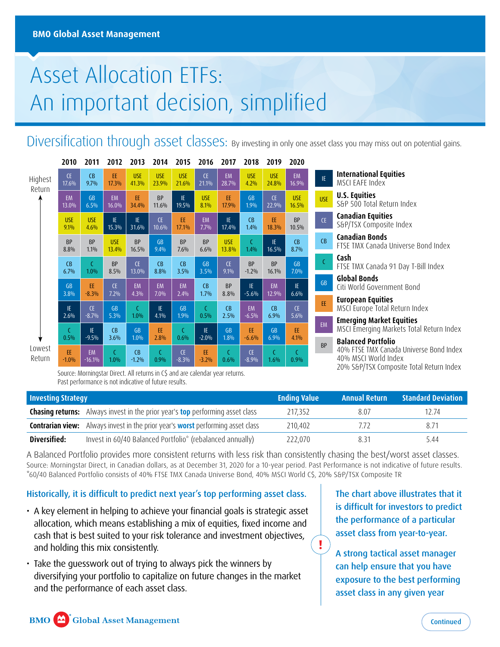# Asset Allocation ETFs: An important decision, simplified

Diversification through asset classes: By investing in only one asset class you may miss out on potential gains.

|         | 2010       | 2011          | 2012       | 2013       | 2014                        | 2015       | 2016       | 2017       | 2018       | 2019       | 2020       |
|---------|------------|---------------|------------|------------|-----------------------------|------------|------------|------------|------------|------------|------------|
| Highest | <b>CE</b>  | CB            | EE.        | <b>USE</b> | <b>USE</b>                  | <b>USE</b> | <b>CE</b>  | <b>EM</b>  | <b>USE</b> | <b>USE</b> | EM         |
| Return  | 17.6%      | 9.7%          | 17.3%      | 41.3%      | 23.9%                       | 21.6%      | 21.1%      | 28.7%      | 4.2%       | 24.8%      | 16.9%      |
|         | EM         | <b>GB</b>     | <b>EM</b>  | EE         | <b>BP</b>                   | IE.        | <b>USE</b> | EE         | <b>GB</b>  | CE.        | <b>USE</b> |
|         | 13.0%      | 6.5%          | 16.0%      | 34.4%      | 11.6%                       | 19.5%      | 8.1%       | 17.9%      | 1.9%       | 22.9%      | 16.5%      |
|         | <b>USE</b> | <b>USE</b>    | IE         | IE         | <b>CE</b>                   | EE         | EM         | IE.        | CB         | EE         | BP         |
|         | 9.1%       | 4.6%          | 15.3%      | 31.6%      | 10.6%                       | 17.1%      | 7.7%       | 17.4%      | 1.4%       | 18.3%      | 10.5%      |
|         | BP         | BP            | <b>USE</b> | BP         | <b>GB</b>                   | BP         | <b>BP</b>  | <b>USE</b> | C          | IE         | CB         |
|         | 8.8%       | 1.1%          | 13.4%      | 16.5%      | 9.4%                        | 7.6%       | 6.6%       | 13.8%      | 1.4%       | 16.5%      | 8.7%       |
|         | CB         | $\mathcal{C}$ | BP         | <b>CE</b>  | CB                          | CB         | <b>GB</b>  | <b>CE</b>  | <b>BP</b>  | <b>BP</b>  | GB         |
|         | 6.7%       | 1.0%          | 8.5%       | 13.0%      | 8.8%                        | 3.5%       | 3.5%       | 9.1%       | $-1.2%$    | 16.1%      | $7.0\%$    |
|         | <b>GB</b>  | EE            | CE.        | EM         | EM                          | EM         | CB         | BP         | IE.        | EM         | IE.        |
|         | 3.8%       | $-8.3%$       | 7.2%       | 4.3%       | 7.0%                        | 2.4%       | 1.7%       | 8.8%       | $-5.6%$    | 12.9%      | 6.6%       |
|         | IE.        | CE            | <b>GB</b>  | C          | IE                          | GB         | C          | CB         | <b>EM</b>  | CB         | CE.        |
|         | 2.6%       | $-8.7%$       | 5.3%       | 1.0%       | 4.1%                        | 1.9%       | 0.5%       | 2.5%       | $-6.5%$    | 6.9%       | 5.6%       |
|         | C          | IE            | CB         | GB         | EE                          | C          | IE         | <b>GB</b>  | EE         | <b>GB</b>  | EE         |
|         | 0.5%       | $-9.5%$       | 3.6%       | 1.0%       | 2.8%                        | 0.6%       | $-2.0%$    | 1.8%       | $-6.6%$    | 6.9%       | 4.1%       |
| Lowest  | EE         | EM            | C          | CB         | $\mathcal{C}_{\mathcal{C}}$ | <b>CE</b>  | EE         | C          | <b>CE</b>  | C          | C          |
| Return  | $-1.0%$    | $-16.1%$      | 1.0%       | $-1.2%$    | 0.9%                        | $-8.3%$    | $-3.2%$    | 0.6%       | $-8.9%$    | 1.6%       | 0.9%       |

Source: Morningstar Direct. All returns in C\$ and are calendar year returns. Past performance is not indicative of future results.

|            | <b>Standard Deviation</b><br><b>Annual Return</b>                           |
|------------|-----------------------------------------------------------------------------|
|            |                                                                             |
|            | 40% MSCL World Index<br>20% S&P/TSX Composite Total Return Index            |
| <b>BP</b>  | <b>Balanced Portfolio</b><br>40% FTSE TMX Canada Universe Bond Index        |
| <b>EM</b>  | <b>Emerging Market Equities</b><br>MSCI Emerging Markets Total Return Index |
| EE         | European Equities<br>MSCI Europe Total Return Index                         |
| GB         | Global Bonds<br>Citi World Government Bond                                  |
| C          | Cash<br>FTSE TMX Canada 91 Day T-Bill Index                                 |
| CB         | Canadian Bonds<br>FTSE TMX Canada Universe Bond Index                       |
| <b>CE</b>  | <b>Canadian Equities</b><br>S&P/TSX Composite Index                         |
| <b>USE</b> | v.s. raamss<br>S&P 500 Total Return Index                                   |

**International Equities** MSCI EAFE Index **U.S. Equities** 

| <b>Investing Strategy</b> |                                                                                               | <b>Ending Value</b> | <b>Annual Return</b>         | <b>Standard Deviation</b> |
|---------------------------|-----------------------------------------------------------------------------------------------|---------------------|------------------------------|---------------------------|
|                           | <b>Chasing returns:</b> Always invest in the prior year's <b>top</b> performing asset class   | 217.352             | 8.07                         | 12.74                     |
|                           | <b>Contrarian view:</b> Always invest in the prior year's <b>worst</b> performing asset class | 210.402             | $\left( \frac{1}{2} \right)$ | 8.71                      |
| Diversified:              | Invest in 60/40 Balanced Portfolio* (rebalanced annually)                                     | 222.070             | 8.31                         | 5.44                      |

A Balanced Portfolio provides more consistent returns with less risk than consistently chasing the best/worst asset classes. Source: Morningstar Direct, in Canadian dollars, as at December 31, 2020 for a 10-year period. Past Performance is not indicative of future results. \*60/40 Balanced Portfolio consists of 40% FTSE TMX Canada Universe Bond, 40% MSCI World C\$, 20% S&P/TSX Composite TR

### Historically, it is difficult to predict next year's top performing asset class.

- A key element in helping to achieve your financial goals is strategic asset allocation, which means establishing a mix of equities, fixed income and cash that is best suited to your risk tolerance and investment objectives, and holding this mix consistently.
- Take the guesswork out of trying to always pick the winners by diversifying your portfolio to capitalize on future changes in the market and the performance of each asset class.

The chart above illustrates that it is difficult for investors to predict the performance of a particular asset class from year-to-year.

A strong tactical asset manager can help ensure that you have exposure to the best performing asset class in any given year

**!**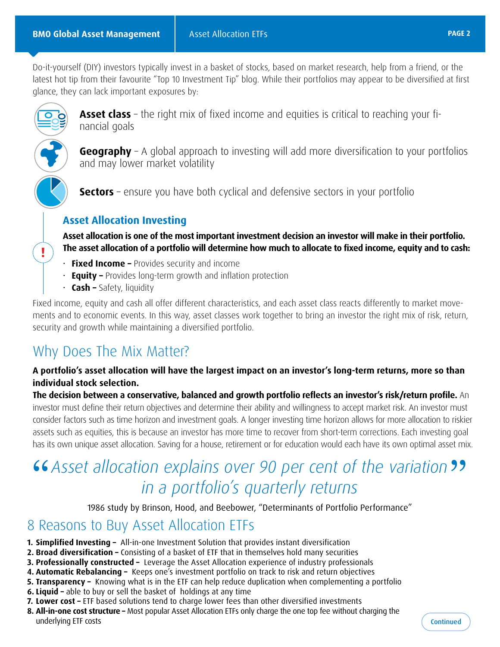<span id="page-1-0"></span>Do-it-yourself (DIY) investors typically invest in a basket of stocks, based on market research, help from a friend, or the latest hot tip from their favourite "Top 10 Investment Tip" blog. While their portfolios may appear to be diversified at first glance, they can lack important exposures by:



**!**

**Asset class** – the right mix of fixed income and equities is critical to reaching your financial goals

**Geography** – A global approach to investing will add more diversification to your portfolios and may lower market volatility

**Sectors** – ensure you have both cyclical and defensive sectors in your portfolio

### **Asset Allocation Investing**

**Asset allocation is one of the most important investment decision an investor will make in their portfolio. The asset allocation of a portfolio will determine how much to allocate to fixed income, equity and to cash:** 

- **Fixed Income –** Provides security and income
- **Equity –** Provides long-term growth and inflation protection
- **Cash –** Safety, liquidity

Fixed income, equity and cash all offer different characteristics, and each asset class reacts differently to market movements and to economic events. In this way, asset classes work together to bring an investor the right mix of risk, return, security and growth while maintaining a diversified portfolio.

## Why Does The Mix Matter?

### **A portfolio's asset allocation will have the largest impact on an investor's long-term returns, more so than individual stock selection.**

**The decision between a conservative, balanced and growth portfolio reflects an investor's risk/return profile.** An investor must define their return objectives and determine their ability and willingness to accept market risk. An investor must consider factors such as time horizon and investment goals. A longer investing time horizon allows for more allocation to riskier assets such as equities, this is because an investor has more time to recover from short-term corrections. Each investing goal has its own unique asset allocation. Saving for a house, retirement or for education would each have its own optimal asset mix.

## **46** Asset allocation explains over 90 per cent of the variation **??**<br>
in a portfolio's quarterly returns *in a portfolio's quarterly returns*

1986 study by Brinson, Hood, and Beebower, "Determinants of Portfolio Performance"

### 8 Reasons to Buy Asset Allocation ETFs

- **1. Simplified Investing –** All-in-one Investment Solution that provides instant diversification
- **2. Broad diversification –** Consisting of a basket of ETF that in themselves hold many securities
- **3. Professionally constructed –** Leverage the Asset Allocation experience of industry professionals
- **4. Automatic Rebalancing –** Keeps one's investment portfolio on track to risk and return objectives
- **5. Transparency –** Knowing what is in the ETF can help reduce duplication when complementing a portfolio
- **6. Liquid –** able to buy or sell the basket of holdings at any time
- **7. Lower cost –** ETF based solutions tend to charge lower fees than other diversified investments
- **8. All-in-one cost structure –** Most popular Asset Allocation ETFs only charge the one top fee without charging the underlying ETF costs